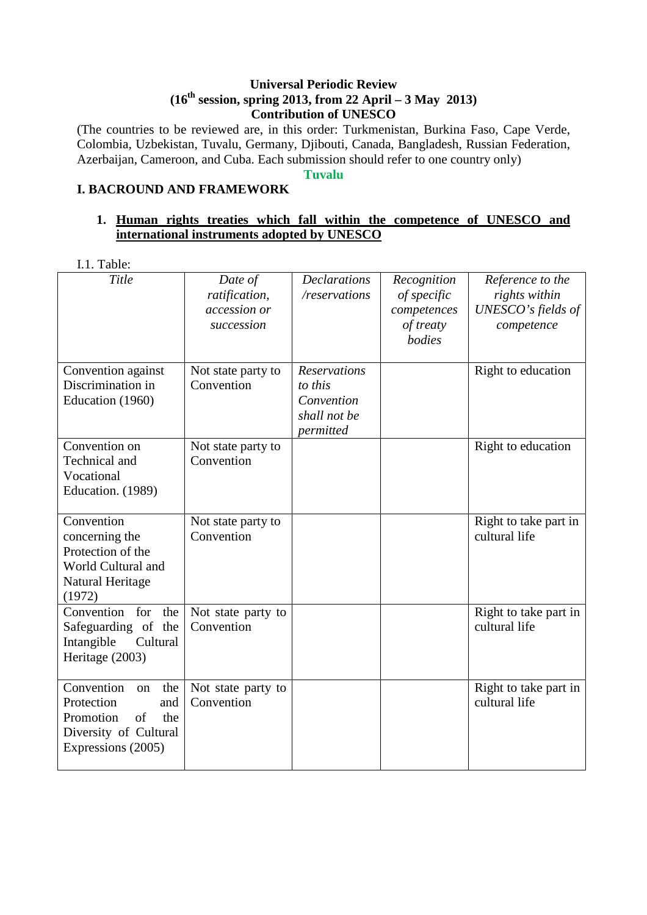### **Universal Periodic Review (16th session, spring 2013, from 22 April – 3 May 2013) Contribution of UNESCO**

(The countries to be reviewed are, in this order: Turkmenistan, Burkina Faso, Cape Verde, Colombia, Uzbekistan, Tuvalu, Germany, Djibouti, Canada, Bangladesh, Russian Federation, Azerbaijan, Cameroon, and Cuba. Each submission should refer to one country only)

### **Tuvalu**

# **I. BACROUND AND FRAMEWORK**

# **1. Human rights treaties which fall within the competence of UNESCO and international instruments adopted by UNESCO**

I.1. Table:

| Title                                                                                                                 | Date of<br>ratification,<br>accession or<br>succession | <b>Declarations</b><br>/reservations                                      | Recognition<br>of specific<br>competences<br>of treaty<br>bodies | Reference to the<br>rights within<br>UNESCO's fields of<br>competence |
|-----------------------------------------------------------------------------------------------------------------------|--------------------------------------------------------|---------------------------------------------------------------------------|------------------------------------------------------------------|-----------------------------------------------------------------------|
| Convention against<br>Discrimination in<br>Education (1960)                                                           | Not state party to<br>Convention                       | <b>Reservations</b><br>to this<br>Convention<br>shall not be<br>permitted |                                                                  | Right to education                                                    |
| Convention on<br>Technical and<br>Vocational<br>Education. (1989)                                                     | Not state party to<br>Convention                       |                                                                           |                                                                  | Right to education                                                    |
| Convention<br>concerning the<br>Protection of the<br>World Cultural and<br>Natural Heritage<br>(1972)                 | Not state party to<br>Convention                       |                                                                           |                                                                  | Right to take part in<br>cultural life                                |
| Convention<br>for<br>the<br>Safeguarding of the<br>Intangible<br>Cultural<br>Heritage (2003)                          | Not state party to<br>Convention                       |                                                                           |                                                                  | Right to take part in<br>cultural life                                |
| Convention<br>the<br>on<br>Protection<br>and<br>Promotion<br>of<br>the<br>Diversity of Cultural<br>Expressions (2005) | Not state party to<br>Convention                       |                                                                           |                                                                  | Right to take part in<br>cultural life                                |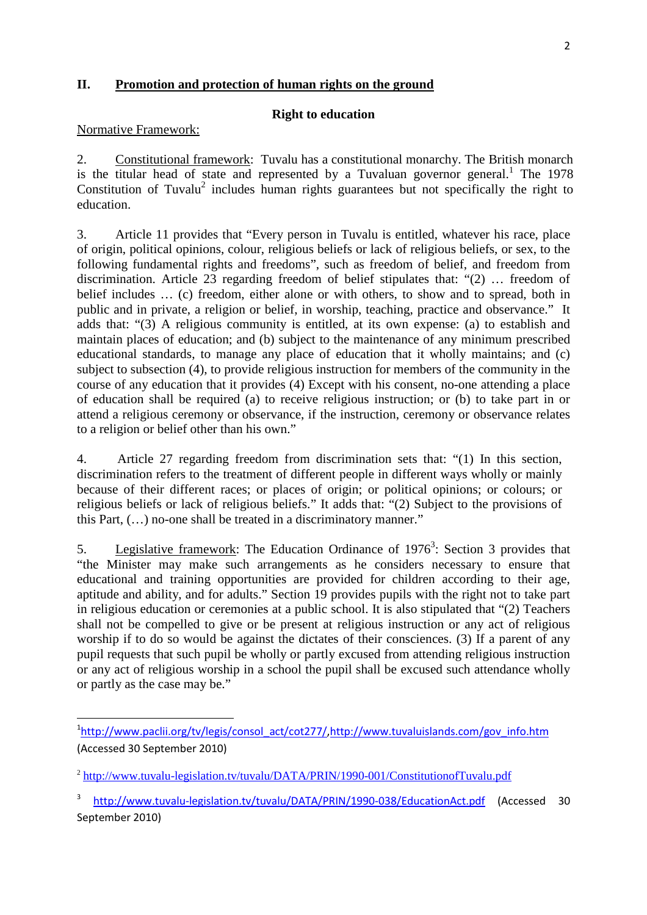## **II. Promotion and protection of human rights on the ground**

## **Right to education**

#### Normative Framework:

l

2. Constitutional framework: Tuvalu has a constitutional monarchy. The British monarch is the titular head of state and represented by a Tuvaluan governor general.<sup>1</sup> The 1978 Constitution of Tuvalu<sup>2</sup> includes human rights guarantees but not specifically the right to education.

3. Article 11 provides that "Every person in Tuvalu is entitled, whatever his race, place of origin, political opinions, colour, religious beliefs or lack of religious beliefs, or sex, to the following fundamental rights and freedoms", such as freedom of belief, and freedom from discrimination. Article 23 regarding freedom of belief stipulates that: "(2) … freedom of belief includes … (c) freedom, either alone or with others, to show and to spread, both in public and in private, a religion or belief, in worship, teaching, practice and observance." It adds that: "(3) A religious community is entitled, at its own expense: (a) to establish and maintain places of education; and (b) subject to the maintenance of any minimum prescribed educational standards, to manage any place of education that it wholly maintains; and (c) subject to subsection (4), to provide religious instruction for members of the community in the course of any education that it provides (4) Except with his consent, no-one attending a place of education shall be required (a) to receive religious instruction; or (b) to take part in or attend a religious ceremony or observance, if the instruction, ceremony or observance relates to a religion or belief other than his own."

4. Article 27 regarding freedom from discrimination sets that: "(1) In this section, discrimination refers to the treatment of different people in different ways wholly or mainly because of their different races; or places of origin; or political opinions; or colours; or religious beliefs or lack of religious beliefs." It adds that: "(2) Subject to the provisions of this Part, (…) no-one shall be treated in a discriminatory manner."

5. Legislative framework: The Education Ordinance of  $1976<sup>3</sup>$ : Section 3 provides that "the Minister may make such arrangements as he considers necessary to ensure that educational and training opportunities are provided for children according to their age, aptitude and ability, and for adults." Section 19 provides pupils with the right not to take part in religious education or ceremonies at a public school. It is also stipulated that "(2) Teachers shall not be compelled to give or be present at religious instruction or any act of religious worship if to do so would be against the dictates of their consciences. (3) If a parent of any pupil requests that such pupil be wholly or partly excused from attending religious instruction or any act of religious worship in a school the pupil shall be excused such attendance wholly or partly as the case may be."

<sup>&</sup>lt;sup>1</sup>http://www.paclii.org/tv/legis/consol\_act/cot277/,http://www.tuvaluislands.com/gov\_info.htm (Accessed 30 September 2010)

<sup>&</sup>lt;sup>2</sup> http://www.tuvalu-legislation.tv/tuvalu/DATA/PRIN/1990-001/ConstitutionofTuvalu.pdf

<sup>3</sup> http://www.tuvalu-legislation.tv/tuvalu/DATA/PRIN/1990-038/EducationAct.pdf (Accessed 30 September 2010)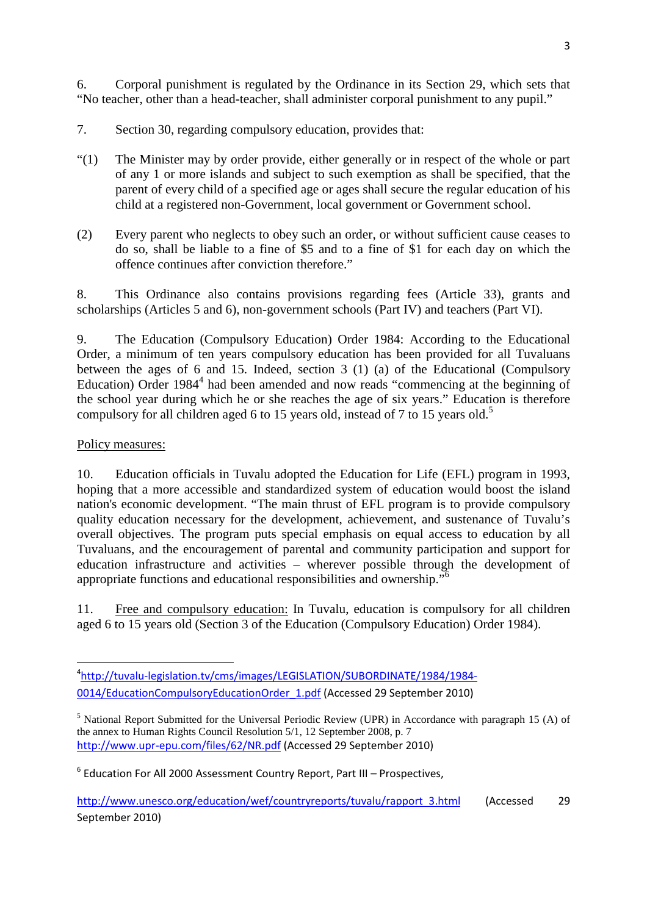6. Corporal punishment is regulated by the Ordinance in its Section 29, which sets that "No teacher, other than a head-teacher, shall administer corporal punishment to any pupil."

- 7. Section 30, regarding compulsory education, provides that:
- "(1) The Minister may by order provide, either generally or in respect of the whole or part of any 1 or more islands and subject to such exemption as shall be specified, that the parent of every child of a specified age or ages shall secure the regular education of his child at a registered non-Government, local government or Government school.
- (2) Every parent who neglects to obey such an order, or without sufficient cause ceases to do so, shall be liable to a fine of \$5 and to a fine of \$1 for each day on which the offence continues after conviction therefore."

8. This Ordinance also contains provisions regarding fees (Article 33), grants and scholarships (Articles 5 and 6), non-government schools (Part IV) and teachers (Part VI).

9. The Education (Compulsory Education) Order 1984: According to the Educational Order, a minimum of ten years compulsory education has been provided for all Tuvaluans between the ages of 6 and 15. Indeed, section 3 (1) (a) of the Educational (Compulsory Education) Order 1984<sup>4</sup> had been amended and now reads "commencing at the beginning of the school year during which he or she reaches the age of six years." Education is therefore compulsory for all children aged 6 to 15 years old, instead of 7 to 15 years old.<sup>5</sup>

# Policy measures:

10. Education officials in Tuvalu adopted the Education for Life (EFL) program in 1993, hoping that a more accessible and standardized system of education would boost the island nation's economic development. "The main thrust of EFL program is to provide compulsory quality education necessary for the development, achievement, and sustenance of Tuvalu's overall objectives. The program puts special emphasis on equal access to education by all Tuvaluans, and the encouragement of parental and community participation and support for education infrastructure and activities – wherever possible through the development of appropriate functions and educational responsibilities and ownership."<sup>6</sup>

11. Free and compulsory education: In Tuvalu, education is compulsory for all children aged 6 to 15 years old (Section 3 of the Education (Compulsory Education) Order 1984).

<sup>4</sup> http://tuvalu-legislation.tv/cms/images/LEGISLATION/SUBORDINATE/1984/1984- 0014/EducationCompulsoryEducationOrder\_1.pdf (Accessed 29 September 2010)

<sup>&</sup>lt;sup>5</sup> National Report Submitted for the Universal Periodic Review (UPR) in Accordance with paragraph 15 (A) of the annex to Human Rights Council Resolution 5/1, 12 September 2008, p. 7 http://www.upr-epu.com/files/62/NR.pdf (Accessed 29 September 2010)

<sup>&</sup>lt;sup>6</sup> Education For All 2000 Assessment Country Report, Part III – Prospectives,

http://www.unesco.org/education/wef/countryreports/tuvalu/rapport\_3.html (Accessed 29 September 2010)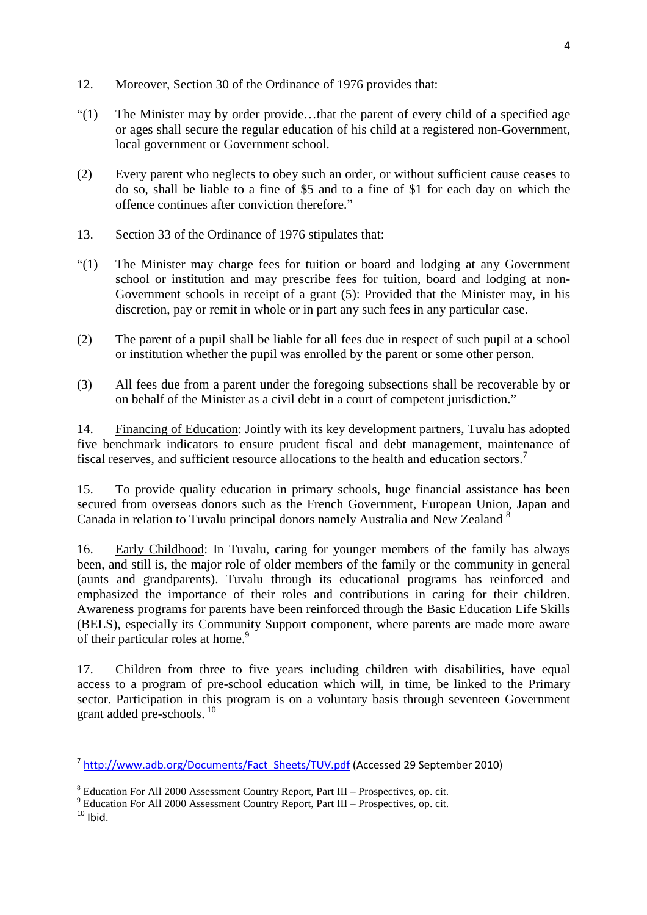- 12. Moreover, Section 30 of the Ordinance of 1976 provides that:
- "(1) The Minister may by order provide…that the parent of every child of a specified age or ages shall secure the regular education of his child at a registered non-Government, local government or Government school.
- (2) Every parent who neglects to obey such an order, or without sufficient cause ceases to do so, shall be liable to a fine of \$5 and to a fine of \$1 for each day on which the offence continues after conviction therefore."
- 13. Section 33 of the Ordinance of 1976 stipulates that:
- "(1) The Minister may charge fees for tuition or board and lodging at any Government school or institution and may prescribe fees for tuition, board and lodging at non-Government schools in receipt of a grant (5): Provided that the Minister may, in his discretion, pay or remit in whole or in part any such fees in any particular case.
- (2) The parent of a pupil shall be liable for all fees due in respect of such pupil at a school or institution whether the pupil was enrolled by the parent or some other person.
- (3) All fees due from a parent under the foregoing subsections shall be recoverable by or on behalf of the Minister as a civil debt in a court of competent jurisdiction."

14. Financing of Education: Jointly with its key development partners, Tuvalu has adopted five benchmark indicators to ensure prudent fiscal and debt management, maintenance of fiscal reserves, and sufficient resource allocations to the health and education sectors.<sup>7</sup>

15. To provide quality education in primary schools, huge financial assistance has been secured from overseas donors such as the French Government, European Union, Japan and Canada in relation to Tuvalu principal donors namely Australia and New Zealand <sup>8</sup>

16. Early Childhood: In Tuvalu, caring for younger members of the family has always been, and still is, the major role of older members of the family or the community in general (aunts and grandparents). Tuvalu through its educational programs has reinforced and emphasized the importance of their roles and contributions in caring for their children. Awareness programs for parents have been reinforced through the Basic Education Life Skills (BELS), especially its Community Support component, where parents are made more aware of their particular roles at home.<sup>9</sup>

17. Children from three to five years including children with disabilities, have equal access to a program of pre-school education which will, in time, be linked to the Primary sector. Participation in this program is on a voluntary basis through seventeen Government grant added pre-schools.<sup>10</sup>

 $\overline{a}$ 

<sup>&</sup>lt;sup>7</sup> http://www.adb.org/Documents/Fact\_Sheets/TUV.pdf (Accessed 29 September 2010)

<sup>&</sup>lt;sup>8</sup> Education For All 2000 Assessment Country Report, Part III – Prospectives, op. cit.

<sup>&</sup>lt;sup>9</sup> Education For All 2000 Assessment Country Report, Part III – Prospectives, op. cit.

 $10$  Ibid.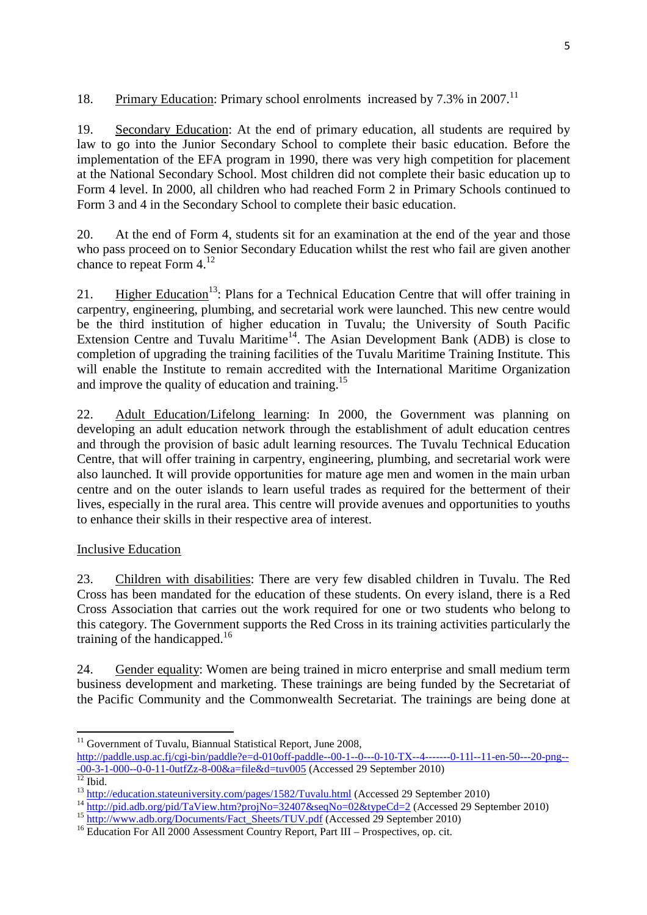18. Primary Education: Primary school enrolments increased by 7.3% in 2007.<sup>11</sup>

19. Secondary Education: At the end of primary education, all students are required by law to go into the Junior Secondary School to complete their basic education. Before the implementation of the EFA program in 1990, there was very high competition for placement at the National Secondary School. Most children did not complete their basic education up to Form 4 level. In 2000, all children who had reached Form 2 in Primary Schools continued to Form 3 and 4 in the Secondary School to complete their basic education.

20. At the end of Form 4, students sit for an examination at the end of the year and those who pass proceed on to Senior Secondary Education whilst the rest who fail are given another chance to repeat Form 4.<sup>12</sup>

21. Higher Education<sup>13</sup>: Plans for a Technical Education Centre that will offer training in carpentry, engineering, plumbing, and secretarial work were launched. This new centre would be the third institution of higher education in Tuvalu; the University of South Pacific Extension Centre and Tuvalu Maritime<sup>14</sup>. The Asian Development Bank (ADB) is close to completion of upgrading the training facilities of the Tuvalu Maritime Training Institute. This will enable the Institute to remain accredited with the International Maritime Organization and improve the quality of education and training.<sup>15</sup>

22. Adult Education/Lifelong learning: In 2000, the Government was planning on developing an adult education network through the establishment of adult education centres and through the provision of basic adult learning resources. The Tuvalu Technical Education Centre, that will offer training in carpentry, engineering, plumbing, and secretarial work were also launched. It will provide opportunities for mature age men and women in the main urban centre and on the outer islands to learn useful trades as required for the betterment of their lives, especially in the rural area. This centre will provide avenues and opportunities to youths to enhance their skills in their respective area of interest.

# Inclusive Education

23. Children with disabilities: There are very few disabled children in Tuvalu. The Red Cross has been mandated for the education of these students. On every island, there is a Red Cross Association that carries out the work required for one or two students who belong to this category. The Government supports the Red Cross in its training activities particularly the training of the handicapped.<sup>16</sup>

24. Gender equality: Women are being trained in micro enterprise and small medium term business development and marketing. These trainings are being funded by the Secretariat of the Pacific Community and the Commonwealth Secretariat. The trainings are being done at

 $11$  Government of Tuvalu, Biannual Statistical Report, June 2008,

http://paddle.usp.ac.fj/cgi-bin/paddle?e=d-010off-paddle--00-1--0---0-10-TX--4-------0-11l--11-en-50---20-png-- -00-3-1-000--0-0-11-0utfZz-8-00&a=file&d=tuv005 (Accessed 29 September 2010)

 $\frac{12}{12}$  Ibid.

<sup>&</sup>lt;sup>13</sup> http://education.stateuniversity.com/pages/1582/Tuvalu.html (Accessed 29 September 2010)

<sup>&</sup>lt;sup>14</sup> http://pid.adb.org/pid/TaView.htm?projNo=32407&seqNo=02&typeCd=2 (Accessed 29 September 2010)

<sup>&</sup>lt;sup>15</sup> http://www.adb.org/Documents/Fact\_Sheets/TUV.pdf (Accessed 29 September 2010)

<sup>&</sup>lt;sup>16</sup> Education For All 2000 Assessment Country Report, Part III – Prospectives, op. cit.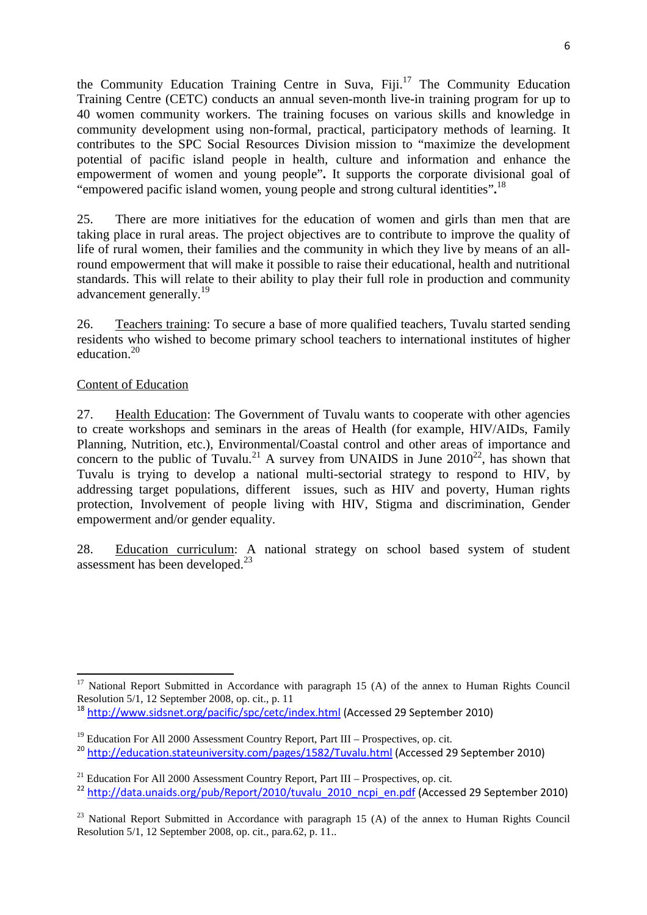the Community Education Training Centre in Suva,  $Fiii$ <sup>17</sup> The Community Education Training Centre (CETC) conducts an annual seven-month live-in training program for up to 40 women community workers. The training focuses on various skills and knowledge in community development using non-formal, practical, participatory methods of learning. It contributes to the SPC Social Resources Division mission to "maximize the development potential of pacific island people in health, culture and information and enhance the empowerment of women and young people"**.** It supports the corporate divisional goal of "empowered pacific island women, young people and strong cultural identities"**.** 18

25. There are more initiatives for the education of women and girls than men that are taking place in rural areas. The project objectives are to contribute to improve the quality of life of rural women, their families and the community in which they live by means of an allround empowerment that will make it possible to raise their educational, health and nutritional standards. This will relate to their ability to play their full role in production and community advancement generally.<sup>19</sup>

26. Teachers training: To secure a base of more qualified teachers, Tuvalu started sending residents who wished to become primary school teachers to international institutes of higher education.<sup>20</sup>

### Content of Education

27. Health Education: The Government of Tuvalu wants to cooperate with other agencies to create workshops and seminars in the areas of Health (for example, HIV/AIDs, Family Planning, Nutrition, etc.), Environmental/Coastal control and other areas of importance and concern to the public of Tuvalu.<sup>21</sup> A survey from UNAIDS in June  $2010^{22}$ , has shown that Tuvalu is trying to develop a national multi-sectorial strategy to respond to HIV, by addressing target populations, different issues, such as HIV and poverty, Human rights protection, Involvement of people living with HIV, Stigma and discrimination, Gender empowerment and/or gender equality.

28. Education curriculum: A national strategy on school based system of student assessment has been developed.<sup>23</sup>

 <sup>17</sup> National Report Submitted in Accordance with paragraph 15 (A) of the annex to Human Rights Council Resolution  $5/1$ , 12 September 2008, op. cit., p. 11

<sup>18</sup> http://www.sidsnet.org/pacific/spc/cetc/index.html (Accessed 29 September 2010)

 $19$  Education For All 2000 Assessment Country Report, Part III – Prospectives, op. cit.

<sup>20</sup> http://education.stateuniversity.com/pages/1582/Tuvalu.html (Accessed 29 September 2010)

 $^{21}$  Education For All 2000 Assessment Country Report, Part III – Prospectives, op. cit.

 $^{22}$  http://data.unaids.org/pub/Report/2010/tuvalu\_2010\_ncpi\_en.pdf (Accessed 29 September 2010)

 $^{23}$  National Report Submitted in Accordance with paragraph 15 (A) of the annex to Human Rights Council Resolution 5/1, 12 September 2008, op. cit., para.62, p. 11..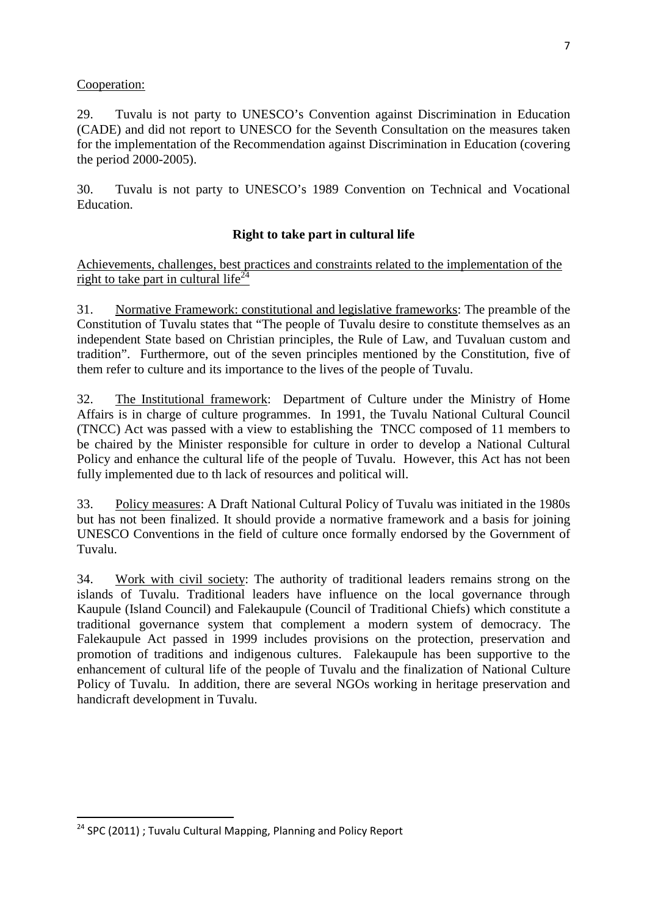#### Cooperation:

29. Tuvalu is not party to UNESCO's Convention against Discrimination in Education (CADE) and did not report to UNESCO for the Seventh Consultation on the measures taken for the implementation of the Recommendation against Discrimination in Education (covering the period 2000-2005).

30. Tuvalu is not party to UNESCO's 1989 Convention on Technical and Vocational Education.

## **Right to take part in cultural life**

Achievements, challenges, best practices and constraints related to the implementation of the right to take part in cultural life<sup>24</sup>

31. Normative Framework: constitutional and legislative frameworks: The preamble of the Constitution of Tuvalu states that "The people of Tuvalu desire to constitute themselves as an independent State based on Christian principles, the Rule of Law, and Tuvaluan custom and tradition". Furthermore, out of the seven principles mentioned by the Constitution, five of them refer to culture and its importance to the lives of the people of Tuvalu.

32. The Institutional framework: Department of Culture under the Ministry of Home Affairs is in charge of culture programmes. In 1991, the Tuvalu National Cultural Council (TNCC) Act was passed with a view to establishing the TNCC composed of 11 members to be chaired by the Minister responsible for culture in order to develop a National Cultural Policy and enhance the cultural life of the people of Tuvalu. However, this Act has not been fully implemented due to th lack of resources and political will.

33. Policy measures: A Draft National Cultural Policy of Tuvalu was initiated in the 1980s but has not been finalized. It should provide a normative framework and a basis for joining UNESCO Conventions in the field of culture once formally endorsed by the Government of Tuvalu.

34. Work with civil society: The authority of traditional leaders remains strong on the islands of Tuvalu. Traditional leaders have influence on the local governance through Kaupule (Island Council) and Falekaupule (Council of Traditional Chiefs) which constitute a traditional governance system that complement a modern system of democracy. The Falekaupule Act passed in 1999 includes provisions on the protection, preservation and promotion of traditions and indigenous cultures. Falekaupule has been supportive to the enhancement of cultural life of the people of Tuvalu and the finalization of National Culture Policy of Tuvalu. In addition, there are several NGOs working in heritage preservation and handicraft development in Tuvalu.

l

<sup>&</sup>lt;sup>24</sup> SPC (2011) ; Tuvalu Cultural Mapping, Planning and Policy Report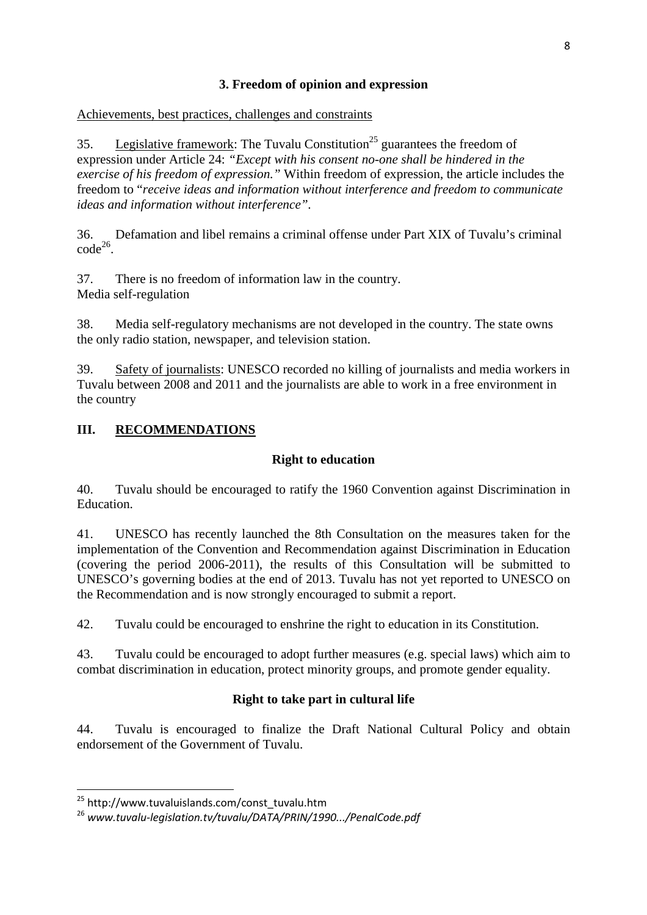# **3. Freedom of opinion and expression**

Achievements, best practices, challenges and constraints

35. Legislative framework: The Tuvalu Constitution<sup>25</sup> guarantees the freedom of expression under Article 24: *"Except with his consent no-one shall be hindered in the exercise of his freedom of expression."* Within freedom of expression, the article includes the freedom to "*receive ideas and information without interference and freedom to communicate ideas and information without interference".* 

36. Defamation and libel remains a criminal offense under Part XIX of Tuvalu's criminal  $code^{26}$ .

37. There is no freedom of information law in the country. Media self-regulation

38. Media self-regulatory mechanisms are not developed in the country. The state owns the only radio station, newspaper, and television station.

39. Safety of journalists: UNESCO recorded no killing of journalists and media workers in Tuvalu between 2008 and 2011 and the journalists are able to work in a free environment in the country

# **III. RECOMMENDATIONS**

# **Right to education**

40. Tuvalu should be encouraged to ratify the 1960 Convention against Discrimination in Education.

41. UNESCO has recently launched the 8th Consultation on the measures taken for the implementation of the Convention and Recommendation against Discrimination in Education (covering the period 2006-2011), the results of this Consultation will be submitted to UNESCO's governing bodies at the end of 2013. Tuvalu has not yet reported to UNESCO on the Recommendation and is now strongly encouraged to submit a report.

42. Tuvalu could be encouraged to enshrine the right to education in its Constitution.

43. Tuvalu could be encouraged to adopt further measures (e.g. special laws) which aim to combat discrimination in education, protect minority groups, and promote gender equality.

# **Right to take part in cultural life**

44. Tuvalu is encouraged to finalize the Draft National Cultural Policy and obtain endorsement of the Government of Tuvalu.

l

<sup>&</sup>lt;sup>25</sup> http://www.tuvaluislands.com/const\_tuvalu.htm

<sup>26</sup> www.tuvalu-legislation.tv/tuvalu/DATA/PRIN/1990.../PenalCode.pdf